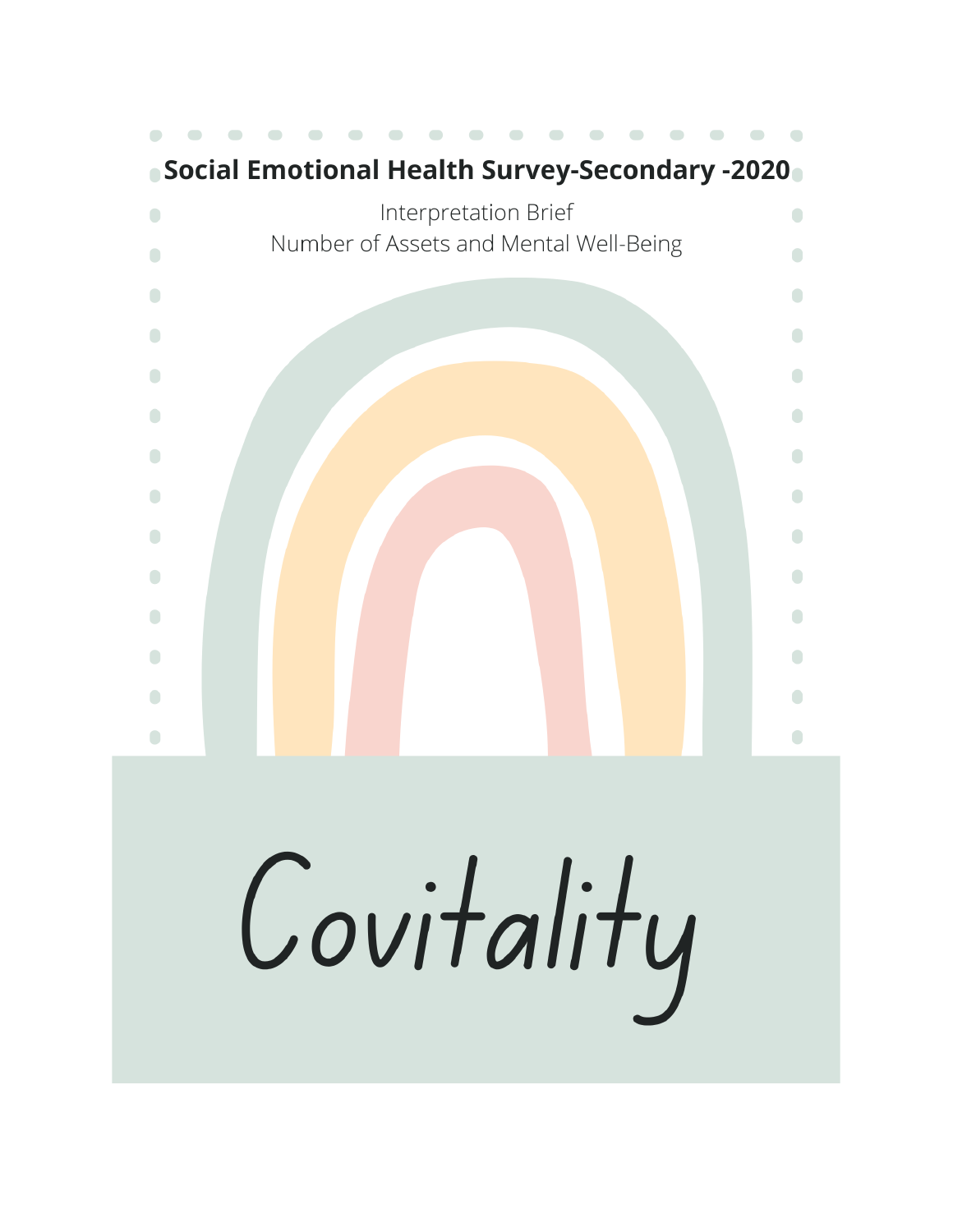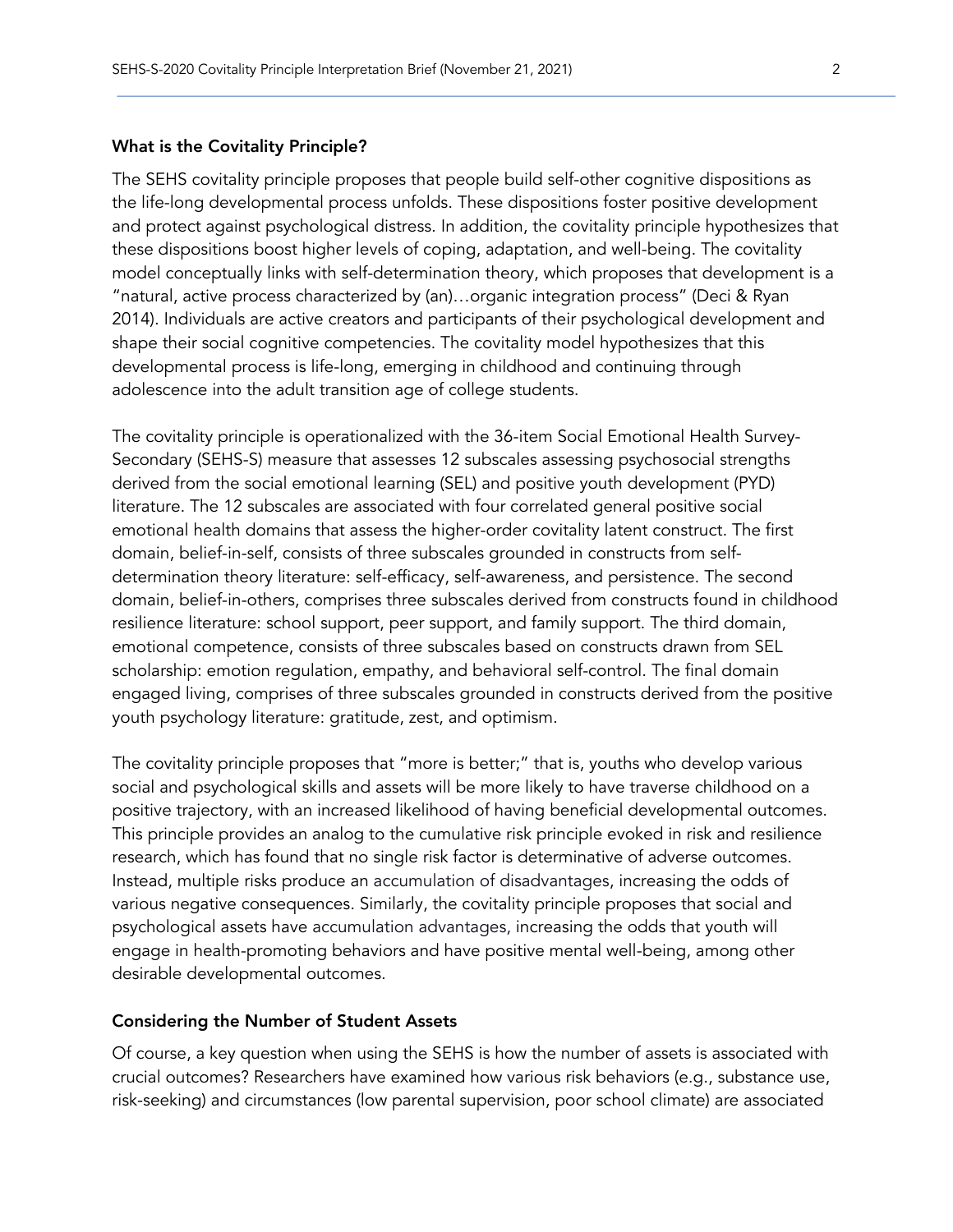### What is the Covitality Principle?

The SEHS covitality principle proposes that people build self-other cognitive dispositions as the life-long developmental process unfolds. These dispositions foster positive development and protect against psychological distress. In addition, the covitality principle hypothesizes that these dispositions boost higher levels of coping, adaptation, and well-being. The covitality model conceptually links with self-determination theory, which proposes that development is a "natural, active process characterized by (an)…organic integration process" (Deci & Ryan 2014). Individuals are active creators and participants of their psychological development and shape their social cognitive competencies. The covitality model hypothesizes that this developmental process is life-long, emerging in childhood and continuing through adolescence into the adult transition age of college students.

The covitality principle is operationalized with the 36-item Social Emotional Health Survey-Secondary (SEHS-S) measure that assesses 12 subscales assessing psychosocial strengths derived from the social emotional learning (SEL) and positive youth development (PYD) literature. The 12 subscales are associated with four correlated general positive social emotional health domains that assess the higher-order covitality latent construct. The first domain, belief-in-self, consists of three subscales grounded in constructs from selfdetermination theory literature: self-efficacy, self-awareness, and persistence. The second domain, belief-in-others, comprises three subscales derived from constructs found in childhood resilience literature: school support, peer support, and family support. The third domain, emotional competence, consists of three subscales based on constructs drawn from SEL scholarship: emotion regulation, empathy, and behavioral self-control. The final domain engaged living, comprises of three subscales grounded in constructs derived from the positive youth psychology literature: gratitude, zest, and optimism.

The covitality principle proposes that "more is better;" that is, youths who develop various social and psychological skills and assets will be more likely to have traverse childhood on a positive trajectory, with an increased likelihood of having beneficial developmental outcomes. This principle provides an analog to the cumulative risk principle evoked in risk and resilience research, which has found that no single risk factor is determinative of adverse outcomes. Instead, multiple risks produce an accumulation of disadvantages, increasing the odds of various negative consequences. Similarly, the covitality principle proposes that social and psychological assets have accumulation advantages, increasing the odds that youth will engage in health-promoting behaviors and have positive mental well-being, among other desirable developmental outcomes.

### Considering the Number of Student Assets

Of course, a key question when using the SEHS is how the number of assets is associated with crucial outcomes? Researchers have examined how various risk behaviors (e.g., substance use, risk-seeking) and circumstances (low parental supervision, poor school climate) are associated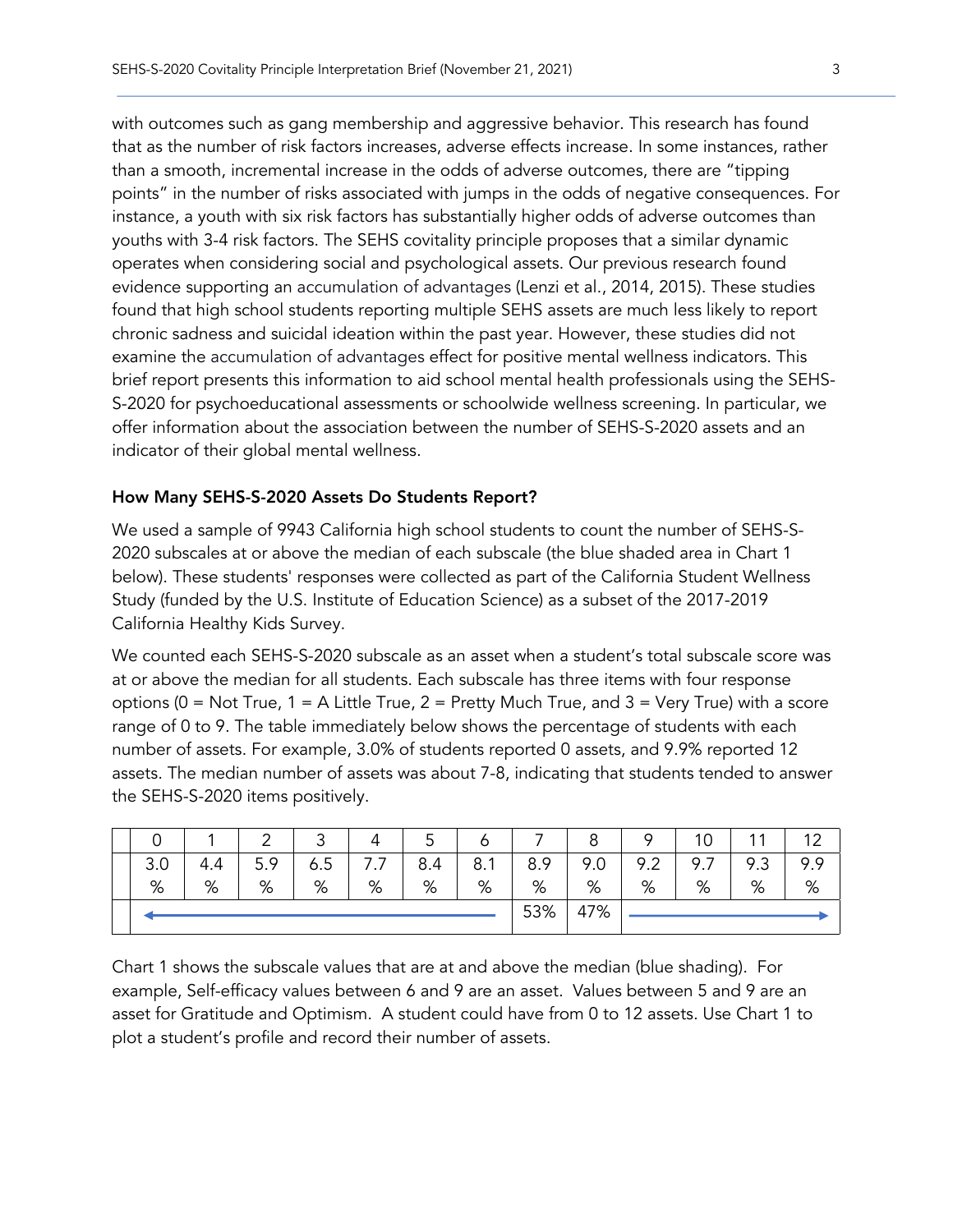with outcomes such as gang membership and aggressive behavior. This research has found that as the number of risk factors increases, adverse effects increase. In some instances, rather than a smooth, incremental increase in the odds of adverse outcomes, there are "tipping points" in the number of risks associated with jumps in the odds of negative consequences. For instance, a youth with six risk factors has substantially higher odds of adverse outcomes than youths with 3-4 risk factors. The SEHS covitality principle proposes that a similar dynamic operates when considering social and psychological assets. Our previous research found evidence supporting an accumulation of advantages (Lenzi et al., 2014, 2015). These studies found that high school students reporting multiple SEHS assets are much less likely to report chronic sadness and suicidal ideation within the past year. However, these studies did not examine the accumulation of advantages effect for positive mental wellness indicators. This brief report presents this information to aid school mental health professionals using the SEHS-S-2020 for psychoeducational assessments or schoolwide wellness screening. In particular, we offer information about the association between the number of SEHS-S-2020 assets and an indicator of their global mental wellness.

### How Many SEHS-S-2020 Assets Do Students Report?

We used a sample of 9943 California high school students to count the number of SEHS-S-2020 subscales at or above the median of each subscale (the blue shaded area in Chart 1 below). These students' responses were collected as part of the California Student Wellness Study (funded by the U.S. Institute of Education Science) as a subset of the 2017-2019 California Healthy Kids Survey.

We counted each SEHS-S-2020 subscale as an asset when a student's total subscale score was at or above the median for all students. Each subscale has three items with four response options ( $0 = Not True$ ,  $1 = A$  Little True,  $2 = Pretty$  Much True, and  $3 = Very True$ ) with a score range of 0 to 9. The table immediately below shows the percentage of students with each number of assets. For example, 3.0% of students reported 0 assets, and 9.9% reported 12 assets. The median number of assets was about 7-8, indicating that students tended to answer the SEHS-S-2020 items positively.

|     |     | ⌒   | ັ                   |                   | ◡   |                     |     | o   | o   | 10                              | $\overline{A}$ | $\sim$ |
|-----|-----|-----|---------------------|-------------------|-----|---------------------|-----|-----|-----|---------------------------------|----------------|--------|
| 3.0 | 4.4 | 5.9 | $\mathbf{r}$<br>6.5 | $\cdot$ . $\cdot$ | 8.4 | 8.1<br>$\mathbf{1}$ | 8.9 | 9.0 | 9.2 | 9.7<br>$\overline{\phantom{a}}$ | 9.3            | 9.9    |
| %   | %   | %   | %                   | %                 | %   | %                   | %   | %   | %   | %                               | %              | %      |
|     |     |     |                     |                   | 53% | 47%                 |     |     |     |                                 |                |        |

Chart 1 shows the subscale values that are at and above the median (blue shading). For example, Self-efficacy values between 6 and 9 are an asset. Values between 5 and 9 are an asset for Gratitude and Optimism. A student could have from 0 to 12 assets. Use Chart 1 to plot a student's profile and record their number of assets.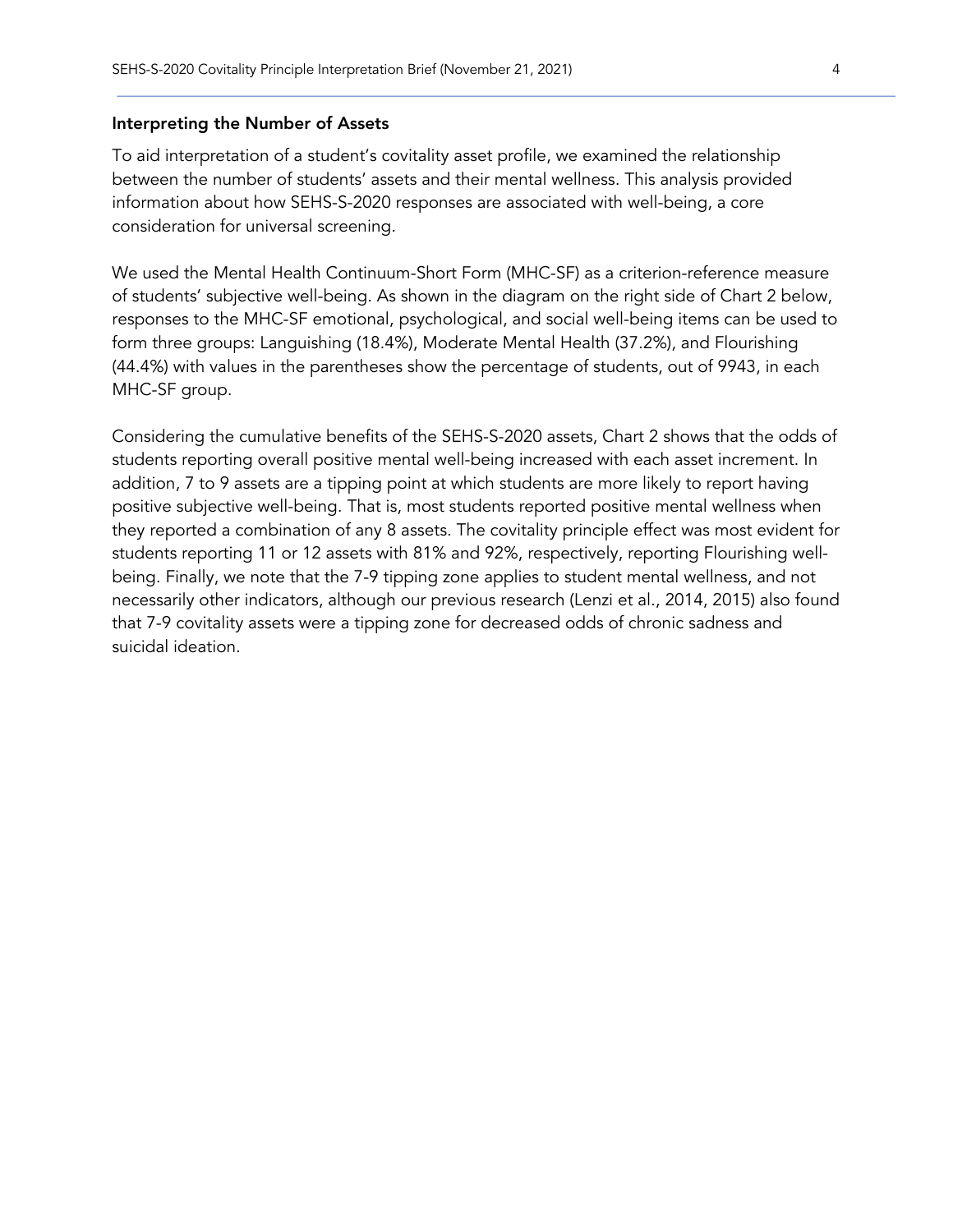### Interpreting the Number of Assets

To aid interpretation of a student's covitality asset profile, we examined the relationship between the number of students' assets and their mental wellness. This analysis provided information about how SEHS-S-2020 responses are associated with well-being, a core consideration for universal screening.

We used the Mental Health Continuum-Short Form (MHC-SF) as a criterion-reference measure of students' subjective well-being. As shown in the diagram on the right side of Chart 2 below, responses to the MHC-SF emotional, psychological, and social well-being items can be used to form three groups: Languishing (18.4%), Moderate Mental Health (37.2%), and Flourishing (44.4%) with values in the parentheses show the percentage of students, out of 9943, in each MHC-SF group.

Considering the cumulative benefits of the SEHS-S-2020 assets, Chart 2 shows that the odds of students reporting overall positive mental well-being increased with each asset increment. In addition, 7 to 9 assets are a tipping point at which students are more likely to report having positive subjective well-being. That is, most students reported positive mental wellness when they reported a combination of any 8 assets. The covitality principle effect was most evident for students reporting 11 or 12 assets with 81% and 92%, respectively, reporting Flourishing wellbeing. Finally, we note that the 7-9 tipping zone applies to student mental wellness, and not necessarily other indicators, although our previous research (Lenzi et al., 2014, 2015) also found that 7-9 covitality assets were a tipping zone for decreased odds of chronic sadness and suicidal ideation.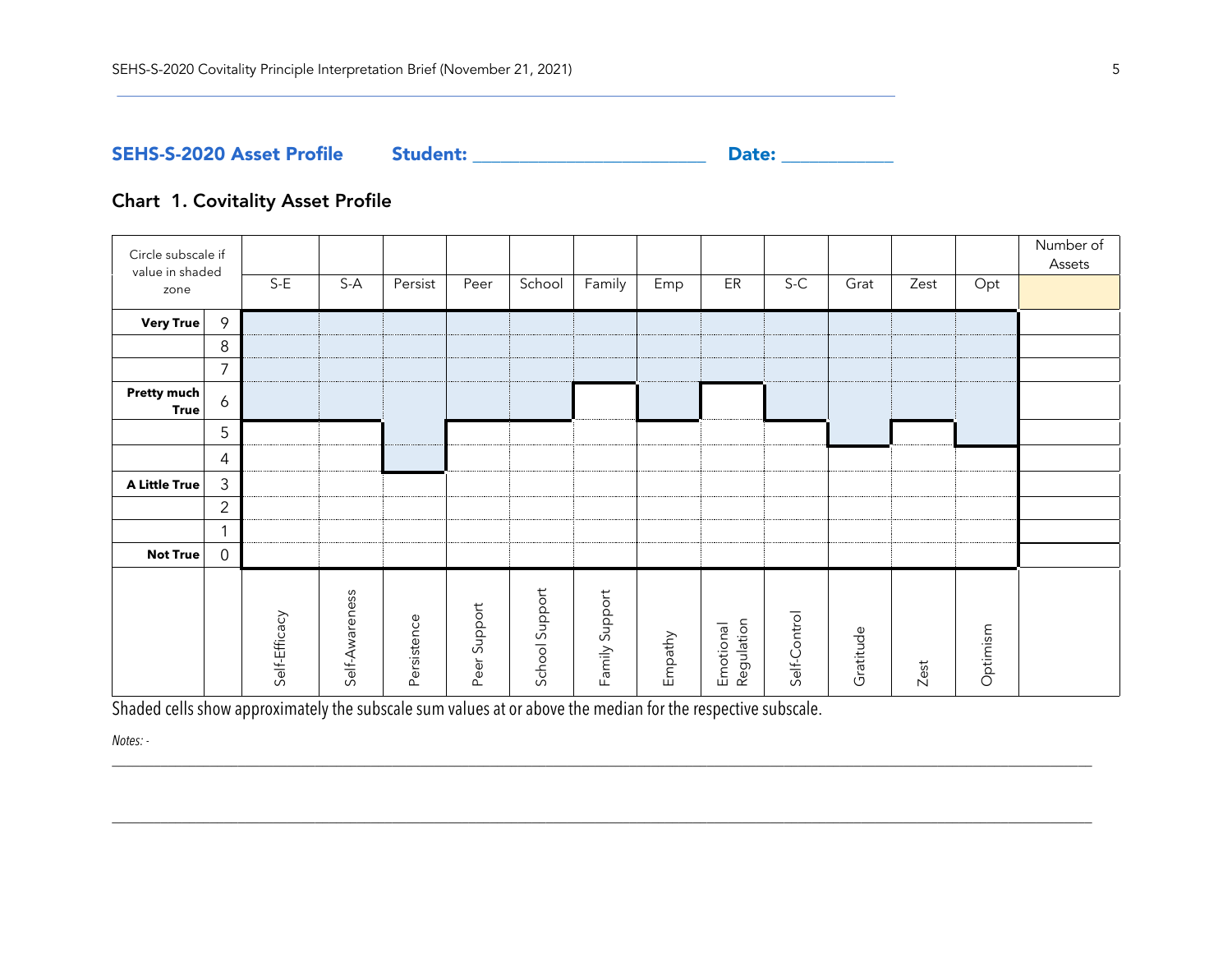SEHS-S-2020 Asset Profile Student: \_\_\_\_\_\_\_\_\_\_\_\_\_\_\_\_\_\_\_\_\_\_\_\_\_ Date: \_\_\_\_\_\_\_\_\_\_\_\_

# Chart 1. Covitality Asset Profile

| Circle subscale if<br>value in shaded<br>zone |                | $S-E$         | $S-A$          | Persist     | Peer            | School         | Family         | Emp     | ER                      | $S-C$        | Grat      | Zest | Opt      | Number of<br>Assets |
|-----------------------------------------------|----------------|---------------|----------------|-------------|-----------------|----------------|----------------|---------|-------------------------|--------------|-----------|------|----------|---------------------|
| Very True                                     | 9              |               |                |             |                 |                |                |         |                         |              |           |      |          |                     |
|                                               | 8              |               |                |             |                 |                |                |         |                         |              |           |      |          |                     |
|                                               | 7              |               |                |             |                 |                |                |         |                         |              |           |      |          |                     |
| Pretty much<br><b>True</b>                    | $\ddot{\circ}$ |               |                |             |                 |                |                |         |                         |              |           |      |          |                     |
|                                               | 5              |               |                |             |                 |                |                |         |                         |              |           |      |          |                     |
|                                               | 4              |               |                |             |                 |                |                |         |                         |              |           |      |          |                     |
| A Little True                                 | $\mathfrak{Z}$ |               |                |             |                 |                |                |         |                         |              |           |      |          |                     |
|                                               | $\overline{2}$ |               |                |             |                 |                |                |         |                         |              |           |      |          |                     |
|                                               | $\mathbf{1}$   |               |                |             |                 |                |                |         |                         |              |           |      |          |                     |
| <b>Not True</b>                               | $\mathbf 0$    |               |                |             |                 |                |                |         |                         |              |           |      |          |                     |
|                                               |                | Self-Efficacy | Self-Awareness | Persistence | Support<br>Peer | School Support | Family Support | Empathy | Regulation<br>Emotional | Self-Control | Gratitude | Zest | Optimism |                     |

\_\_\_\_\_\_\_\_\_\_\_\_\_\_\_\_\_\_\_\_\_\_\_\_\_\_\_\_\_\_\_\_\_\_\_\_\_\_\_\_\_\_\_\_\_\_\_\_\_\_\_\_\_\_\_\_\_\_\_\_\_\_\_\_\_\_\_\_\_\_\_\_\_\_\_\_\_\_\_\_\_\_\_\_\_\_\_\_\_\_\_\_\_\_\_\_\_\_\_\_\_\_\_\_\_\_\_\_\_\_\_\_\_\_\_\_\_\_\_\_\_\_\_\_\_\_\_\_\_\_\_\_\_\_\_\_\_\_\_\_

\_\_\_\_\_\_\_\_\_\_\_\_\_\_\_\_\_\_\_\_\_\_\_\_\_\_\_\_\_\_\_\_\_\_\_\_\_\_\_\_\_\_\_\_\_\_\_\_\_\_\_\_\_\_\_\_\_\_\_\_\_\_\_\_\_\_\_\_\_\_\_\_\_\_\_\_\_\_\_\_\_\_\_\_\_\_\_\_\_\_\_\_\_\_\_\_\_\_\_\_\_\_\_\_\_\_\_\_\_\_\_\_\_\_\_\_\_\_\_\_\_\_\_\_\_\_\_\_\_\_\_\_\_\_\_\_\_\_\_\_

Shaded cells show approximately the subscale sum values at or above the median for the respective subscale.

*Notes: -*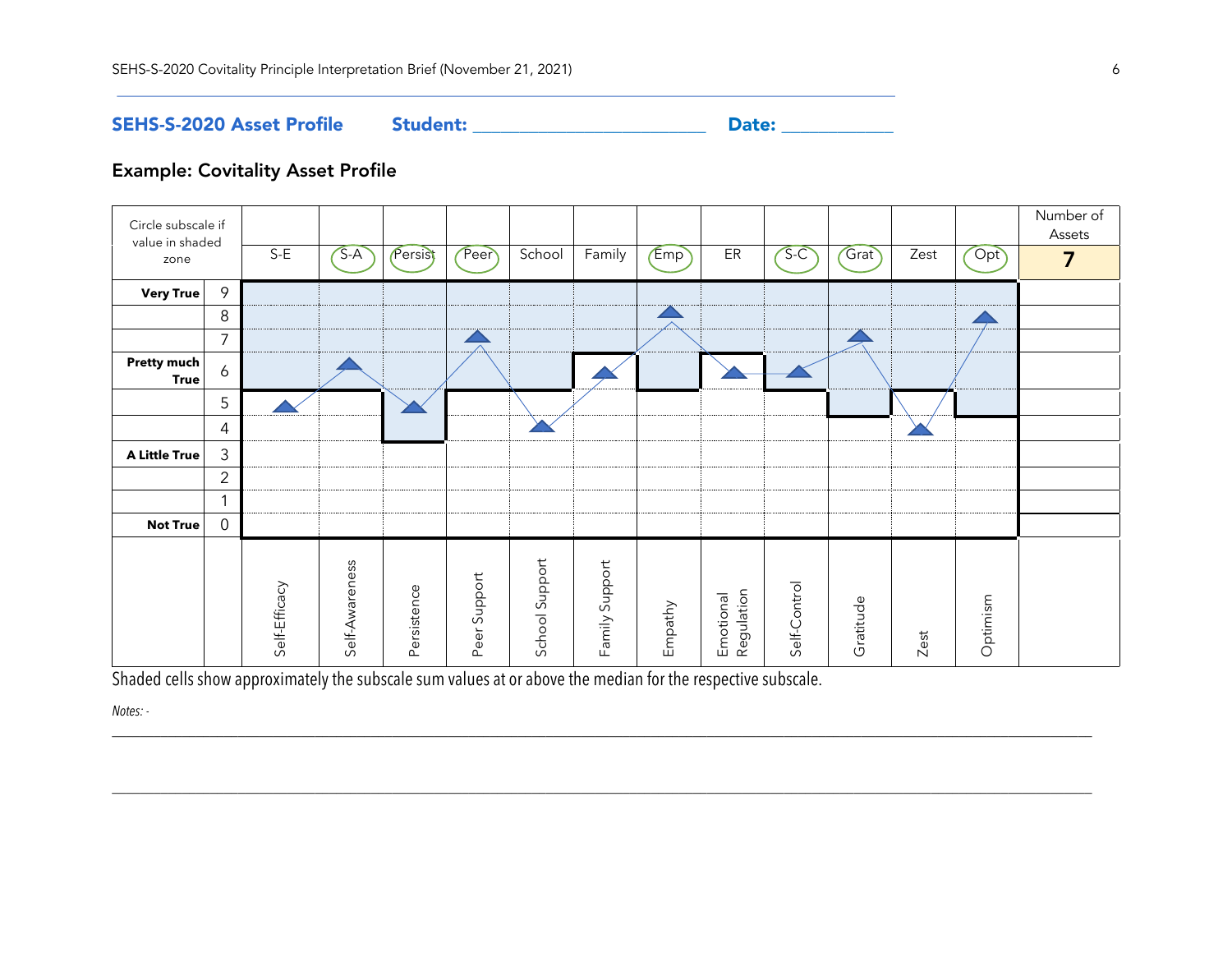SEHS-S-2020 Asset Profile Student: \_\_\_\_\_\_\_\_\_\_\_\_\_\_\_\_\_\_\_\_\_\_\_\_\_ Date: \_\_\_\_\_\_\_\_\_\_\_\_

# Example: Covitality Asset Profile

| Circle subscale if<br>value in shaded<br>zone |                | $S-E$         | $S-A$          | Persist     | Peer         | School         | Family         | Emp     | ER                      | $S-C$        | Grat      | Zest | Opt      | Number of<br>Assets<br>7 |
|-----------------------------------------------|----------------|---------------|----------------|-------------|--------------|----------------|----------------|---------|-------------------------|--------------|-----------|------|----------|--------------------------|
|                                               |                |               |                |             |              |                |                |         |                         |              |           |      |          |                          |
| <b>Very True</b>                              | 9              |               |                |             |              |                |                |         |                         |              |           |      |          |                          |
|                                               | 8              |               |                |             |              |                |                |         |                         |              |           |      |          |                          |
|                                               | $\overline{7}$ |               |                |             |              |                |                |         |                         |              |           |      |          |                          |
| <b>Pretty much</b><br><b>True</b>             | 6              |               |                |             |              |                |                |         |                         |              |           |      |          |                          |
|                                               | 5              |               |                |             |              |                |                |         |                         |              |           |      |          |                          |
|                                               | 4              |               |                |             |              |                |                |         |                         |              |           |      |          |                          |
| <b>A Little True</b>                          | $\mathfrak{Z}$ |               |                |             |              |                |                |         |                         |              |           |      |          |                          |
|                                               | $\overline{2}$ |               |                |             |              |                |                |         |                         |              |           |      |          |                          |
|                                               | $\mathbf{1}$   |               |                |             |              |                |                |         |                         |              |           |      |          |                          |
| <b>Not True</b>                               | $\overline{0}$ |               |                |             |              |                |                |         |                         |              |           |      |          |                          |
|                                               |                | Self-Efficacy | Self-Awareness | Persistence | Peer Support | School Support | Family Support | Empathy | Regulation<br>Emotional | Self-Control | Gratitude | Zest | Optimism |                          |

\_\_\_\_\_\_\_\_\_\_\_\_\_\_\_\_\_\_\_\_\_\_\_\_\_\_\_\_\_\_\_\_\_\_\_\_\_\_\_\_\_\_\_\_\_\_\_\_\_\_\_\_\_\_\_\_\_\_\_\_\_\_\_\_\_\_\_\_\_\_\_\_\_\_\_\_\_\_\_\_\_\_\_\_\_\_\_\_\_\_\_\_\_\_\_\_\_\_\_\_\_\_\_\_\_\_\_\_\_\_\_\_\_\_\_\_\_\_\_\_\_\_\_\_\_\_\_\_\_\_\_\_\_\_\_\_\_\_\_\_

\_\_\_\_\_\_\_\_\_\_\_\_\_\_\_\_\_\_\_\_\_\_\_\_\_\_\_\_\_\_\_\_\_\_\_\_\_\_\_\_\_\_\_\_\_\_\_\_\_\_\_\_\_\_\_\_\_\_\_\_\_\_\_\_\_\_\_\_\_\_\_\_\_\_\_\_\_\_\_\_\_\_\_\_\_\_\_\_\_\_\_\_\_\_\_\_\_\_\_\_\_\_\_\_\_\_\_\_\_\_\_\_\_\_\_\_\_\_\_\_\_\_\_\_\_\_\_\_\_\_\_\_\_\_\_\_\_\_\_\_

Shaded cells show approximately the subscale sum values at or above the median for the respective subscale.

*Notes: -*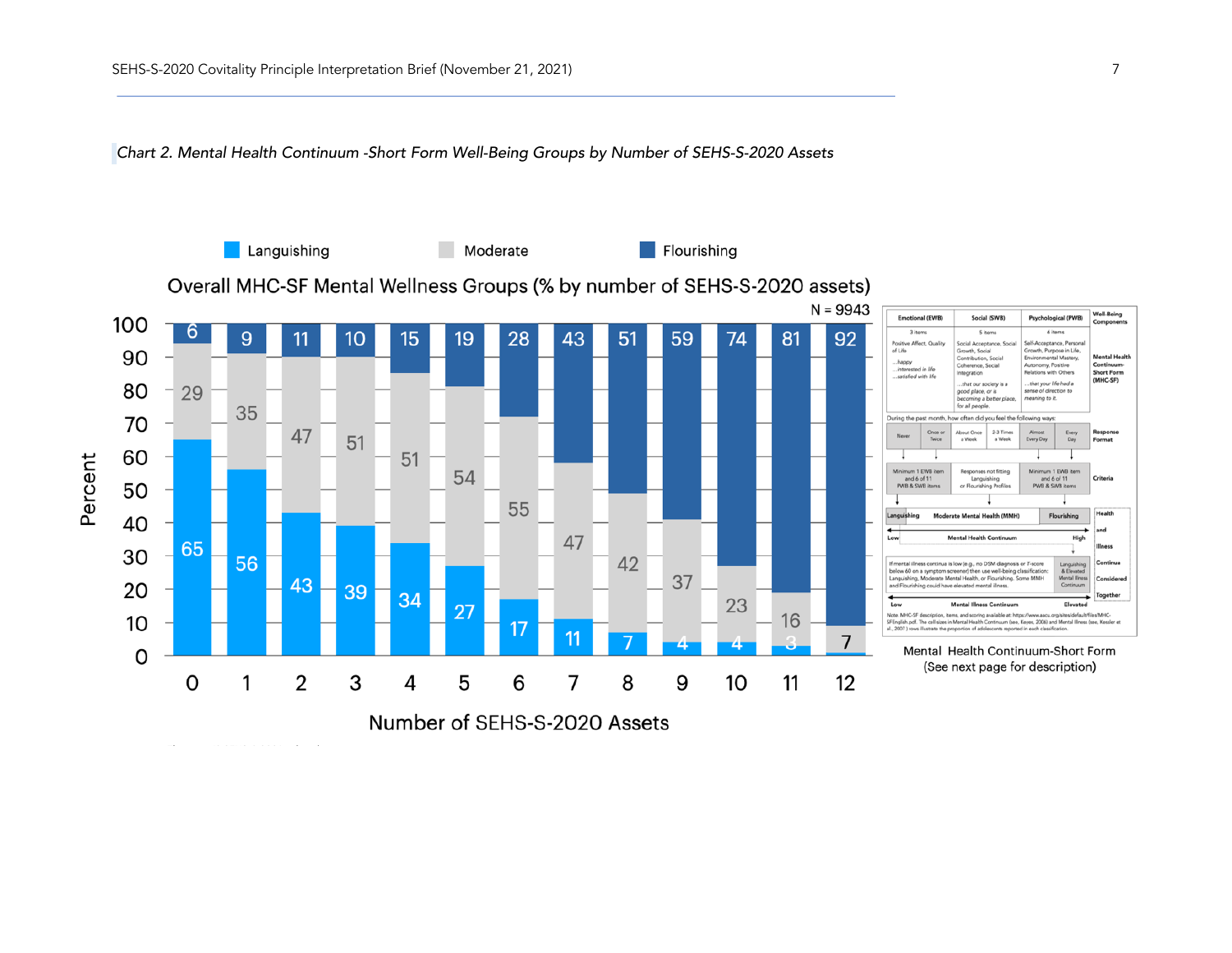*Chart 2. Mental Health Continuum -Short Form Well-Being Groups by Number of SEHS-S-2020 Assets*